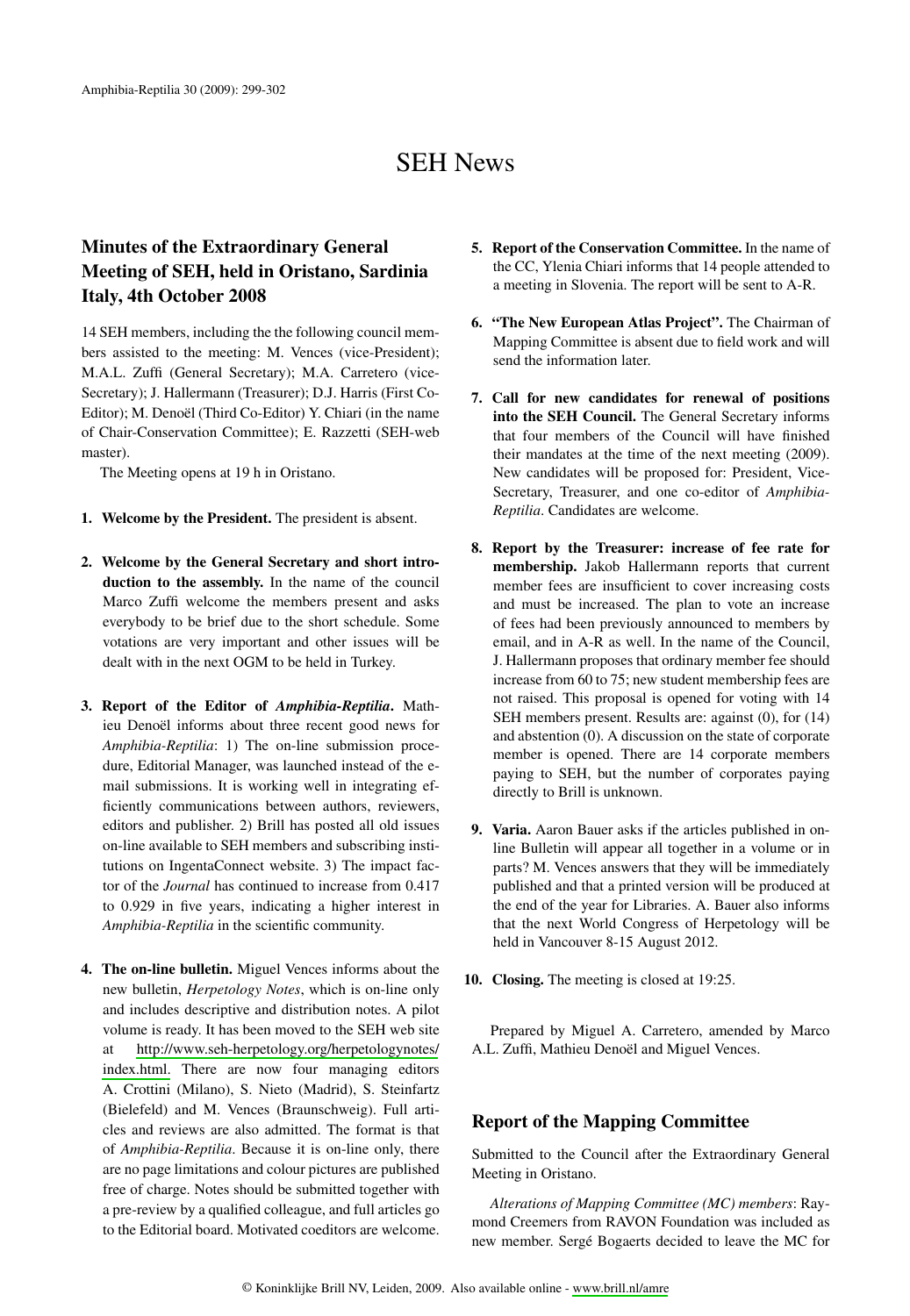# **SEH News**

## **Minutes of the Extraordinary General** Meeting of SEH, held in Oristano, Sardinia **Italy, 4th October 2008**

14 SEH members, including the the following council members assisted to the meeting: M. Vences (vice-President); M.A.L. Zuffi (General Secretary); M.A. Carretero (vice-Secretary); J. Hallermann (Treasurer); D.J. Harris (First Co-Editor); M. Denoël (Third Co-Editor) Y. Chiari (in the name of Chair-Conservation Committee); E. Razzetti (SEH-web master).

The Meeting opens at 19 h in Oristano.

- 1. Welcome by the President. The president is absent.
- 2. Welcome by the General Secretary and short introduction to the assembly. In the name of the council Marco Zuffi welcome the members present and asks everybody to be brief due to the short schedule. Some votations are very important and other issues will be dealt with in the next OGM to be held in Turkey.
- 3. Report of the Editor of Amphibia-Reptilia. Mathieu Denoël informs about three recent good news for Amphibia-Reptilia: 1) The on-line submission procedure, Editorial Manager, was launched instead of the email submissions. It is working well in integrating efficiently communications between authors, reviewers, editors and publisher. 2) Brill has posted all old issues on-line available to SEH members and subscribing institutions on IngentaConnect website. 3) The impact factor of the *Journal* has continued to increase from 0.417 to 0.929 in five years, indicating a higher interest in Amphibia-Reptilia in the scientific community.
- 4. The on-line bulletin. Miguel Vences informs about the new bulletin, Herpetology Notes, which is on-line only and includes descriptive and distribution notes. A pilot volume is ready. It has been moved to the SEH web site http://www.seh-herpetology.org/herpetologynotes/ at index.html. There are now four managing editors A. Crottini (Milano), S. Nieto (Madrid), S. Steinfartz (Bielefeld) and M. Vences (Braunschweig). Full articles and reviews are also admitted. The format is that of Amphibia-Reptilia. Because it is on-line only, there are no page limitations and colour pictures are published free of charge. Notes should be submitted together with a pre-review by a qualified colleague, and full articles go to the Editorial board. Motivated coeditors are welcome.
- 5. Report of the Conservation Committee. In the name of the CC, Ylenia Chiari informs that 14 people attended to a meeting in Slovenia. The report will be sent to A-R.
- 6. "The New European Atlas Project". The Chairman of Mapping Committee is absent due to field work and will send the information later.
- 7. Call for new candidates for renewal of positions into the SEH Council. The General Secretary informs that four members of the Council will have finished their mandates at the time of the next meeting (2009). New candidates will be proposed for: President, Vice-Secretary, Treasurer, and one co-editor of Amphibia-Reptilia. Candidates are welcome.
- 8. Report by the Treasurer: increase of fee rate for membership. Jakob Hallermann reports that current member fees are insufficient to cover increasing costs and must be increased. The plan to vote an increase of fees had been previously announced to members by email, and in A-R as well. In the name of the Council, J. Hallermann proposes that ordinary member fee should increase from 60 to 75; new student membership fees are not raised. This proposal is opened for voting with 14 SEH members present. Results are: against (0), for (14) and abstention (0). A discussion on the state of corporate member is opened. There are 14 corporate members paying to SEH, but the number of corporates paying directly to Brill is unknown.
- 9. Varia. Aaron Bauer asks if the articles published in online Bulletin will appear all together in a volume or in parts? M. Vences answers that they will be immediately published and that a printed version will be produced at the end of the year for Libraries. A. Bauer also informs that the next World Congress of Herpetology will be held in Vancouver 8-15 August 2012.
- 10. Closing. The meeting is closed at 19:25.

Prepared by Miguel A. Carretero, amended by Marco A.L. Zuffi, Mathieu Denoël and Miguel Vences.

### **Report of the Mapping Committee**

Submitted to the Council after the Extraordinary General Meeting in Oristano.

Alterations of Mapping Committee (MC) members: Raymond Creemers from RAVON Foundation was included as new member. Sergé Bogaerts decided to leave the MC for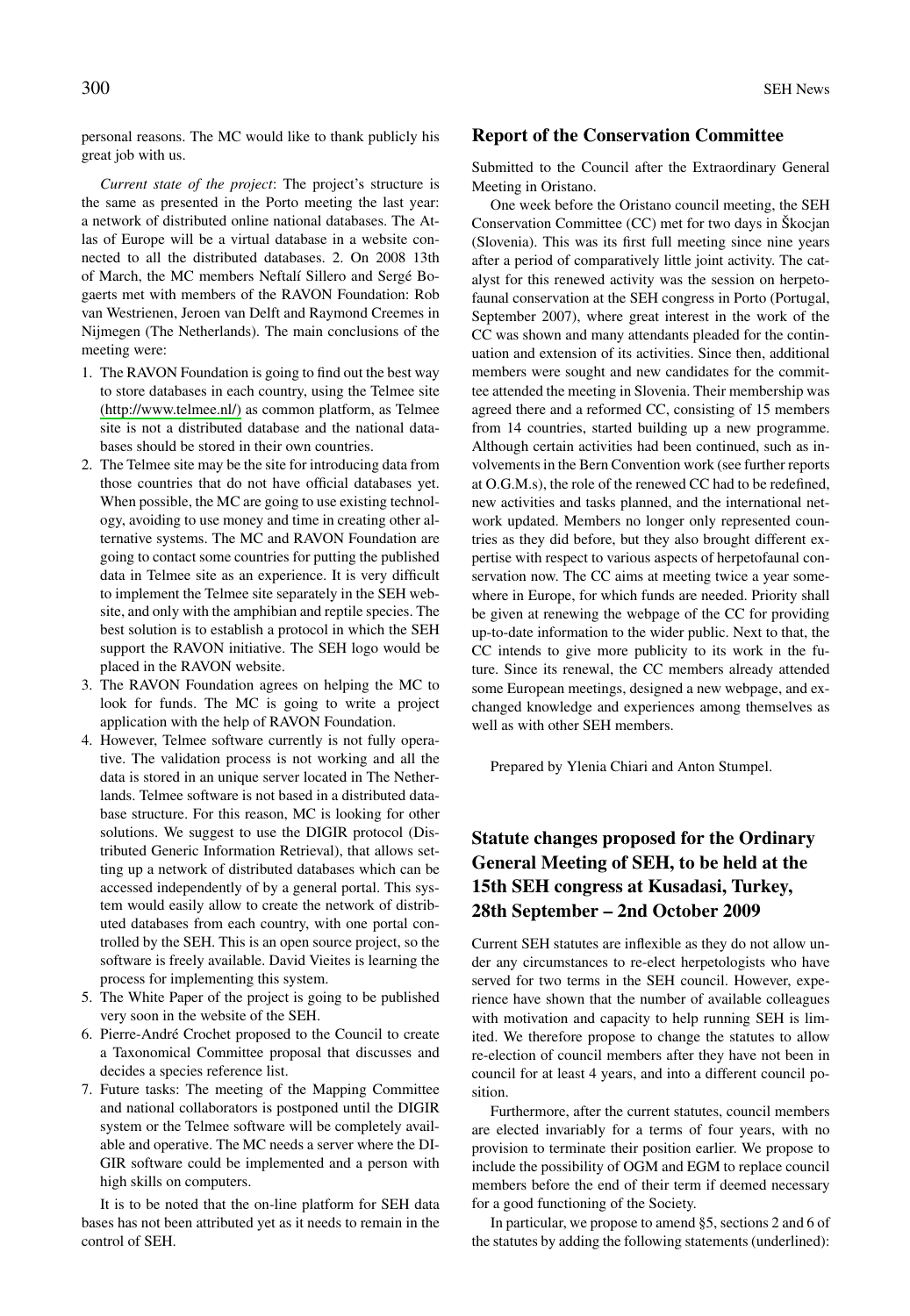personal reasons. The MC would like to thank publicly his great job with us.

Current state of the project: The project's structure is the same as presented in the Porto meeting the last year: a network of distributed online national databases. The Atlas of Europe will be a virtual database in a website connected to all the distributed databases. 2. On 2008 13th of March, the MC members Neftalí Sillero and Sergé Bogaerts met with members of the RAVON Foundation: Rob van Westrienen, Jeroen van Delft and Raymond Creemes in Nijmegen (The Netherlands). The main conclusions of the meeting were:

- 1. The RAVON Foundation is going to find out the best way to store databases in each country, using the Telmee site (http://www.telmee.nl/) as common platform, as Telmee site is not a distributed database and the national databases should be stored in their own countries.
- 2. The Telmee site may be the site for introducing data from those countries that do not have official databases yet. When possible, the MC are going to use existing technology, avoiding to use money and time in creating other alternative systems. The MC and RAVON Foundation are going to contact some countries for putting the published data in Telmee site as an experience. It is very difficult to implement the Telmee site separately in the SEH website, and only with the amphibian and reptile species. The best solution is to establish a protocol in which the SEH support the RAVON initiative. The SEH logo would be placed in the RAVON website.
- 3. The RAVON Foundation agrees on helping the MC to look for funds. The MC is going to write a project application with the help of RAVON Foundation.
- 4. However, Telmee software currently is not fully operative. The validation process is not working and all the data is stored in an unique server located in The Netherlands. Telmee software is not based in a distributed database structure. For this reason, MC is looking for other solutions. We suggest to use the DIGIR protocol (Distributed Generic Information Retrieval), that allows setting up a network of distributed databases which can be accessed independently of by a general portal. This system would easily allow to create the network of distributed databases from each country, with one portal controlled by the SEH. This is an open source project, so the software is freely available. David Vieites is learning the process for implementing this system.
- 5. The White Paper of the project is going to be published very soon in the website of the SEH.
- 6. Pierre-André Crochet proposed to the Council to create a Taxonomical Committee proposal that discusses and decides a species reference list.
- 7. Future tasks: The meeting of the Mapping Committee and national collaborators is postponed until the DIGIR system or the Telmee software will be completely available and operative. The MC needs a server where the DI-GIR software could be implemented and a person with high skills on computers.

It is to be noted that the on-line platform for SEH data bases has not been attributed yet as it needs to remain in the control of SEH.

#### **Report of the Conservation Committee**

Submitted to the Council after the Extraordinary General Meeting in Oristano.

One week before the Oristano council meeting, the SEH Conservation Committee (CC) met for two days in Škocjan (Slovenia). This was its first full meeting since nine years after a period of comparatively little joint activity. The catalyst for this renewed activity was the session on herpetofaunal conservation at the SEH congress in Porto (Portugal, September 2007), where great interest in the work of the CC was shown and many attendants pleaded for the continuation and extension of its activities. Since then, additional members were sought and new candidates for the committee attended the meeting in Slovenia. Their membership was agreed there and a reformed CC, consisting of 15 members from 14 countries, started building up a new programme. Although certain activities had been continued, such as involvements in the Bern Convention work (see further reports at O.G.M.s), the role of the renewed CC had to be redefined, new activities and tasks planned, and the international network updated. Members no longer only represented countries as they did before, but they also brought different expertise with respect to various aspects of herpetofaunal conservation now. The CC aims at meeting twice a year somewhere in Europe, for which funds are needed. Priority shall be given at renewing the webpage of the CC for providing up-to-date information to the wider public. Next to that, the CC intends to give more publicity to its work in the future. Since its renewal, the CC members already attended some European meetings, designed a new webpage, and exchanged knowledge and experiences among themselves as well as with other SEH members.

Prepared by Ylenia Chiari and Anton Stumpel.

### **Statute changes proposed for the Ordinary** General Meeting of SEH, to be held at the 15th SEH congress at Kusadasi, Turkey, 28th September – 2nd October 2009

Current SEH statutes are inflexible as they do not allow under any circumstances to re-elect herpetologists who have served for two terms in the SEH council. However, experience have shown that the number of available colleagues with motivation and capacity to help running SEH is limited. We therefore propose to change the statutes to allow re-election of council members after they have not been in council for at least 4 years, and into a different council position.

Furthermore, after the current statutes, council members are elected invariably for a terms of four years, with no provision to terminate their position earlier. We propose to include the possibility of OGM and EGM to replace council members before the end of their term if deemed necessary for a good functioning of the Society.

In particular, we propose to amend §5, sections 2 and 6 of the statutes by adding the following statements (underlined):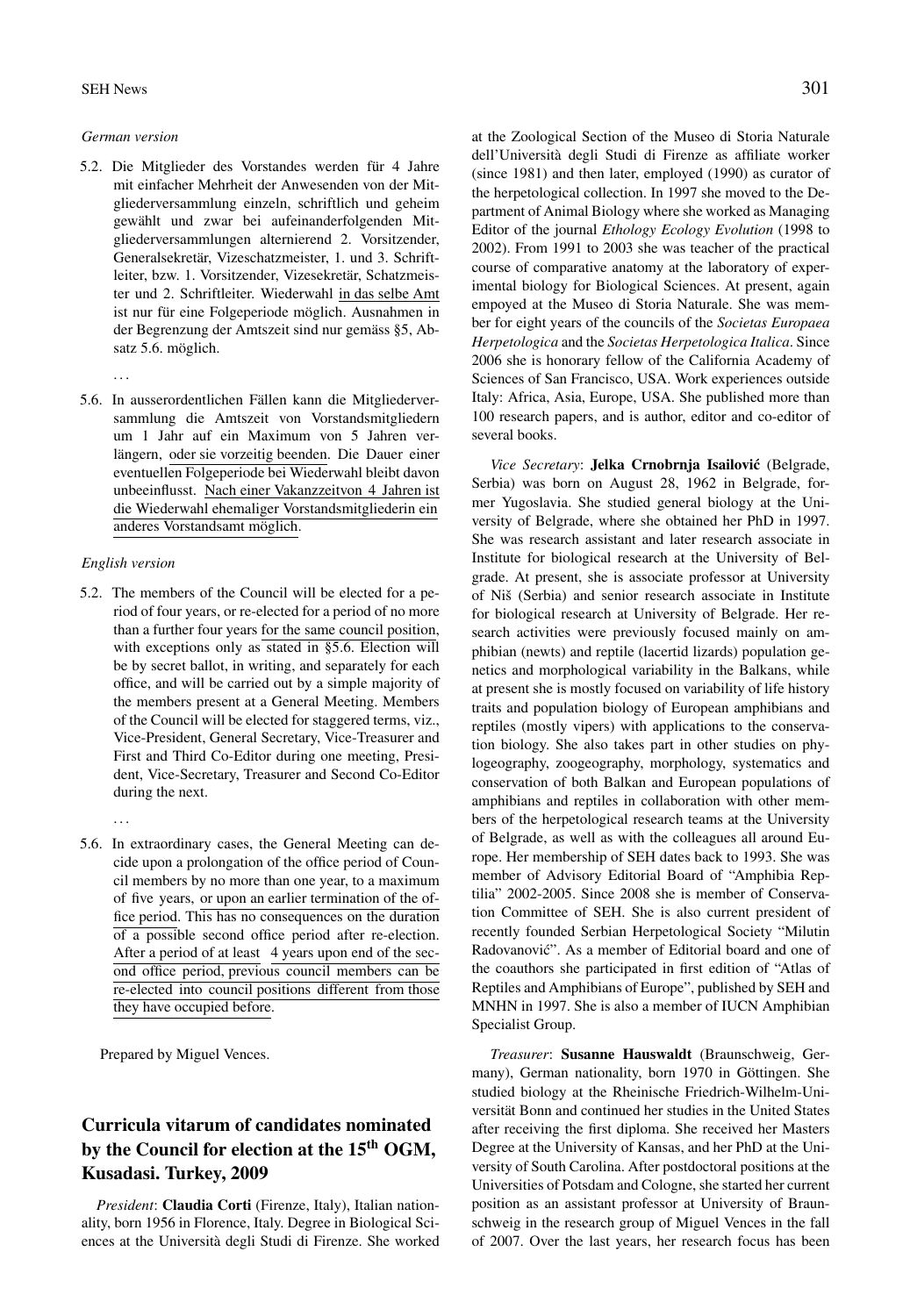#### German version

- 5.2. Die Mitglieder des Vorstandes werden für 4 Jahre mit einfacher Mehrheit der Anwesenden von der Mitgliederversammlung einzeln, schriftlich und geheim gewählt und zwar bei aufeinanderfolgenden Mitgliederversammlungen alternierend 2. Vorsitzender, Generalsekretär, Vizeschatzmeister, 1. und 3. Schriftleiter, bzw. 1. Vorsitzender, Vizesekretär, Schatzmeister und 2. Schriftleiter. Wiederwahl in das selbe Amt ist nur für eine Folgeperiode möglich. Ausnahmen in der Begrenzung der Amtszeit sind nur gemäss §5, Absatz 5.6. möglich.
	-
- 5.6. In ausserordentlichen Fällen kann die Mitgliederversammlung die Amtszeit von Vorstandsmitgliedern um 1 Jahr auf ein Maximum von 5 Jahren verlängern, oder sie vorzeitig beenden. Die Dauer einer eventuellen Folgeperiode bei Wiederwahl bleibt davon unbeeinflusst. Nach einer Vakanzzeitvon 4 Jahren ist die Wiederwahl ehemaliger Vorstandsmitgliederin ein anderes Vorstandsamt möglich.

#### English version

5.2. The members of the Council will be elected for a period of four years, or re-elected for a period of no more than a further four years for the same council position, with exceptions only as stated in §5.6. Election will be by secret ballot, in writing, and separately for each office, and will be carried out by a simple majority of the members present at a General Meeting. Members of the Council will be elected for staggered terms, viz., Vice-President, General Secretary, Vice-Treasurer and First and Third Co-Editor during one meeting, President, Vice-Secretary, Treasurer and Second Co-Editor during the next.

 $\ddotsc$ 

5.6. In extraordinary cases, the General Meeting can decide upon a prolongation of the office period of Council members by no more than one year, to a maximum of five years, or upon an earlier termination of the office period. This has no consequences on the duration of a possible second office period after re-election. After a period of at least 4 years upon end of the second office period, previous council members can be re-elected into council positions different from those they have occupied before.

Prepared by Miguel Vences.

### Curricula vitarum of candidates nominated by the Council for election at the 15<sup>th</sup> OGM, Kusadasi. Turkey, 2009

President: Claudia Corti (Firenze, Italy), Italian nationality, born 1956 in Florence, Italy. Degree in Biological Sciences at the Università degli Studi di Firenze. She worked at the Zoological Section of the Museo di Storia Naturale dell'Università degli Studi di Firenze as affiliate worker (since 1981) and then later, employed (1990) as curator of the herpetological collection. In 1997 she moved to the Department of Animal Biology where she worked as Managing Editor of the journal Ethology Ecology Evolution (1998 to 2002). From 1991 to 2003 she was teacher of the practical course of comparative anatomy at the laboratory of experimental biology for Biological Sciences. At present, again empoyed at the Museo di Storia Naturale. She was member for eight years of the councils of the Societas Europaea Herpetologica and the Societas Herpetologica Italica. Since 2006 she is honorary fellow of the California Academy of Sciences of San Francisco, USA. Work experiences outside Italy: Africa, Asia, Europe, USA. She published more than 100 research papers, and is author, editor and co-editor of several books.

Vice Secretary: Jelka Crnobrnja Isailović (Belgrade, Serbia) was born on August 28, 1962 in Belgrade, former Yugoslavia. She studied general biology at the University of Belgrade, where she obtained her PhD in 1997. She was research assistant and later research associate in Institute for biological research at the University of Belgrade. At present, she is associate professor at University of Niš (Serbia) and senior research associate in Institute for biological research at University of Belgrade. Her research activities were previously focused mainly on amphibian (newts) and reptile (lacertid lizards) population genetics and morphological variability in the Balkans, while at present she is mostly focused on variability of life history traits and population biology of European amphibians and reptiles (mostly vipers) with applications to the conservation biology. She also takes part in other studies on phylogeography, zoogeography, morphology, systematics and conservation of both Balkan and European populations of amphibians and reptiles in collaboration with other members of the herpetological research teams at the University of Belgrade, as well as with the colleagues all around Europe. Her membership of SEH dates back to 1993. She was member of Advisory Editorial Board of "Amphibia Reptilia" 2002-2005. Since 2008 she is member of Conservation Committee of SEH. She is also current president of recently founded Serbian Herpetological Society "Milutin Radovanović". As a member of Editorial board and one of the coauthors she participated in first edition of "Atlas of Reptiles and Amphibians of Europe", published by SEH and MNHN in 1997. She is also a member of IUCN Amphibian Specialist Group.

Treasurer: Susanne Hauswaldt (Braunschweig, Germany), German nationality, born 1970 in Göttingen. She studied biology at the Rheinische Friedrich-Wilhelm-Universität Bonn and continued her studies in the United States after receiving the first diploma. She received her Masters Degree at the University of Kansas, and her PhD at the University of South Carolina. After postdoctoral positions at the Universities of Potsdam and Cologne, she started her current position as an assistant professor at University of Braunschweig in the research group of Miguel Vences in the fall of 2007. Over the last years, her research focus has been